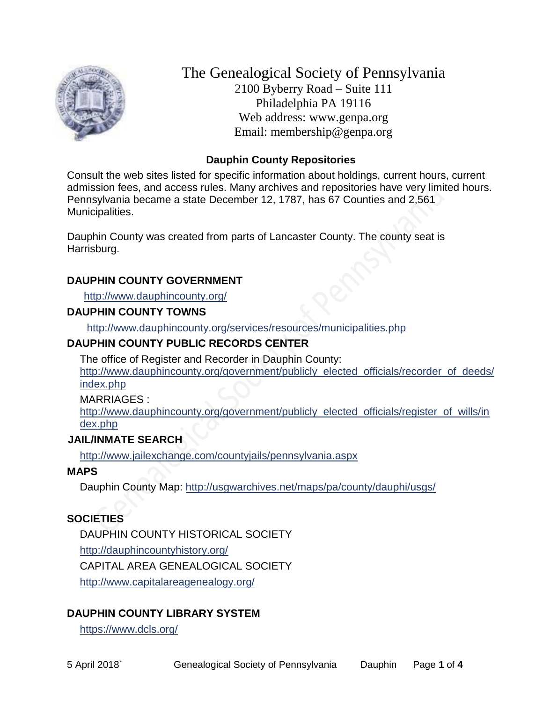

The Genealogical Society of Pennsylvania 2100 Byberry Road – Suite 111 Philadelphia PA 19116 Web address: www.genpa.org Email: membership@genpa.org

### **Dauphin County Repositories**

Consult the web sites listed for specific information about holdings, current hours, current admission fees, and access rules. Many archives and repositories have very limited hours. Pennsylvania became a state December 12, 1787, has 67 Counties and 2,561 Municipalities.

Dauphin County was created from parts of Lancaster County. The county seat is Harrisburg.

#### **DAUPHIN COUNTY GOVERNMENT**

<http://www.dauphincounty.org/>

#### **DAUPHIN COUNTY TOWNS**

<http://www.dauphincounty.org/services/resources/municipalities.php>

#### **DAUPHIN COUNTY PUBLIC RECORDS CENTER**

The office of Register and Recorder in Dauphin County: [http://www.dauphincounty.org/government/publicly\\_elected\\_officials/recorder\\_of\\_deeds/](http://www.dauphincounty.org/government/publicly_elected_officials/recorder_of_deeds/index.php) [index.php](http://www.dauphincounty.org/government/publicly_elected_officials/recorder_of_deeds/index.php)

MARRIAGES :

[http://www.dauphincounty.org/government/publicly\\_elected\\_officials/register\\_of\\_wills/in](http://www.dauphincounty.org/government/publicly_elected_officials/register_of_wills/index.php) [dex.php](http://www.dauphincounty.org/government/publicly_elected_officials/register_of_wills/index.php)

#### **JAIL/INMATE SEARCH**

<http://www.jailexchange.com/countyjails/pennsylvania.aspx>

#### **MAPS**

Dauphin County Map:<http://usgwarchives.net/maps/pa/county/dauphi/usgs/>

#### **SOCIETIES**

DAUPHIN COUNTY HISTORICAL SOCIETY

<http://dauphincountyhistory.org/>

CAPITAL AREA GENEALOGICAL SOCIETY

<http://www.capitalareagenealogy.org/>

## **DAUPHIN COUNTY LIBRARY SYSTEM**

<https://www.dcls.org/>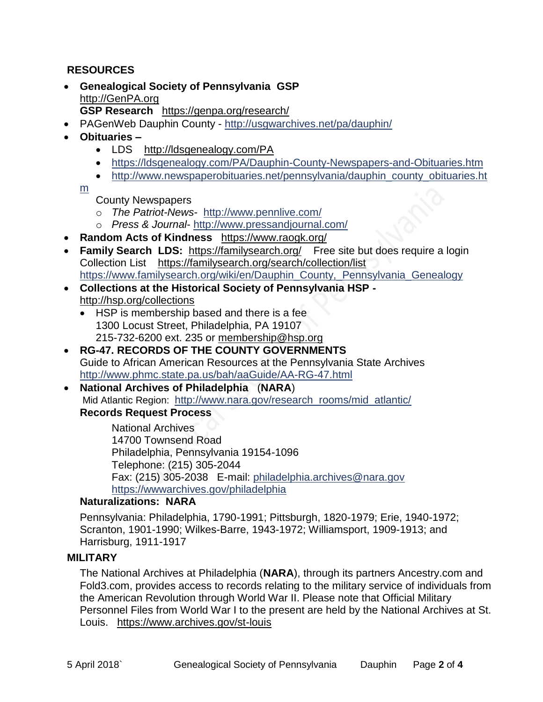#### **RESOURCES**

 **Genealogical Society of Pennsylvania GSP** [http://GenPA.org](http://genpa.org/)

**GSP Research** <https://genpa.org/research/>

- PAGenWeb Dauphin County <http://usgwarchives.net/pa/dauphin/>
- **Obituaries –**
	- LDS <http://ldsgenealogy.com/PA>
	- <https://ldsgenealogy.com/PA/Dauphin-County-Newspapers-and-Obituaries.htm>
	- [http://www.newspaperobituaries.net/pennsylvania/dauphin\\_county\\_obituaries.ht](http://www.newspaperobituaries.net/pennsylvania/dauphin_county_obituaries.htm)

[m](http://www.newspaperobituaries.net/pennsylvania/dauphin_county_obituaries.htm)

- County Newspapers
- o *The Patriot-News* <http://www.pennlive.com/>
- o *Press & Journal* <http://www.pressandjournal.com/>
- **Random Acts of Kindness** <https://www.raogk.org/>
- **Family Search LDS:** <https://familysearch.org/>Free site but does require a login Collection List <https://familysearch.org/search/collection/list> [https://www.familysearch.org/wiki/en/Dauphin\\_County,\\_Pennsylvania\\_Genealogy](https://www.familysearch.org/wiki/en/Dauphin_County,_Pennsylvania_Genealogy)
- **Collections at the Historical Society of Pennsylvania HSP**  <http://hsp.org/collections>
	- HSP is membership based and there is a fee 1300 Locust Street, Philadelphia, PA 19107 215-732-6200 ext. 235 or [membership@hsp.org](mailto:membership@hsp.org)
- **RG-47. RECORDS OF THE COUNTY GOVERNMENTS** Guide to African American Resources at the Pennsylvania State Archives <http://www.phmc.state.pa.us/bah/aaGuide/AA-RG-47.html>
- **National Archives of Philadelphia** (**NARA**) Mid Atlantic Region: [http://www.nara.gov/research\\_rooms/mid\\_atlantic/](http://www.nara.gov/research_rooms/mid_atlantic/) **Records Request Process**

National Archives 14700 Townsend Road Philadelphia, Pennsylvania 19154-1096 Telephone: (215) 305-2044 Fax: (215) 305-2038 E-mail: [philadelphia.archives@nara.gov](mailto:philadelphia.archives@nara.gov) <https://wwwarchives.gov/philadelphia>

#### **Naturalizations: NARA**

Pennsylvania: Philadelphia, 1790-1991; Pittsburgh, 1820-1979; Erie, 1940-1972; Scranton, 1901-1990; Wilkes-Barre, 1943-1972; Williamsport, 1909-1913; and Harrisburg, 1911-1917

## **MILITARY**

The National Archives at Philadelphia (**NARA**), through its partners Ancestry.com and Fold3.com, provides access to records relating to the military service of individuals from the American Revolution through World War II. Please note that Official Military Personnel Files from World War I to the present are held by the National Archives at St. Louis. <https://www.archives.gov/st-louis>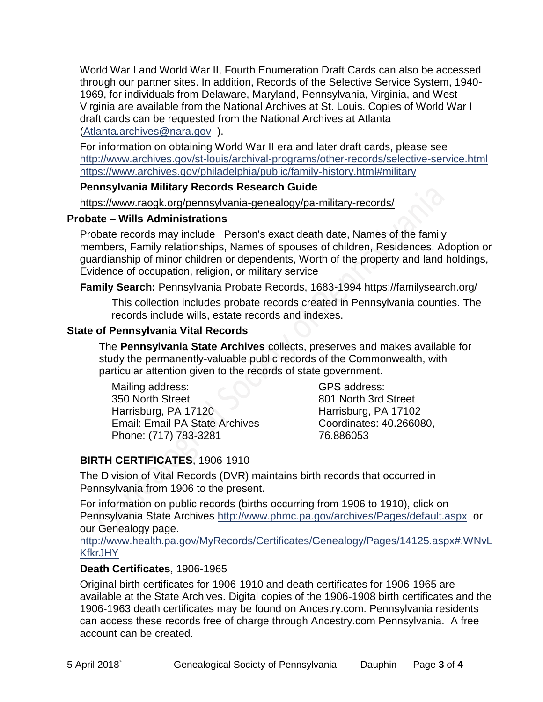World War I and World War II, Fourth Enumeration Draft Cards can also be accessed through our partner sites. In addition, Records of the Selective Service System, 1940- 1969, for individuals from Delaware, Maryland, Pennsylvania, Virginia, and West Virginia are available from the National Archives at St. Louis. Copies of World War I draft cards can be requested from the National Archives at Atlanta [\(Atlanta.archives@nara.gov](mailto:Atlanta.archives@nara.gov) ).

For information on obtaining World War II era and later draft cards, please see <http://www.archives.gov/st-louis/archival-programs/other-records/selective-service.html> <https://www.archives.gov/philadelphia/public/family-history.html#military>

#### **Pennsylvania Military Records Research Guide**

<https://www.raogk.org/pennsylvania-genealogy/pa-military-records/>

#### **Probate – Wills Administrations**

Probate records may include Person's exact death date, Names of the family members, Family relationships, Names of spouses of children, Residences, Adoption or guardianship of minor children or dependents, Worth of the property and land holdings, Evidence of occupation, religion, or military service

#### **Family Search:** Pennsylvania Probate Records, 1683-1994 <https://familysearch.org/>

This collection includes probate records created in Pennsylvania counties. The records include wills, estate records and indexes.

#### **State of Pennsylvania Vital Records**

The **Pennsylvania State Archives** collects, preserves and makes available for study the permanently-valuable public records of the Commonwealth, with particular attention given to the records of state government.

Mailing address: 350 North Street Harrisburg, PA 17120 Email: Email PA State Archives Phone: (717) 783-3281

GPS address: 801 North 3rd Street Harrisburg, PA 17102 Coordinates: 40.266080, - 76.886053

# **BIRTH CERTIFICATES**, 1906-1910

The Division of Vital Records (DVR) maintains birth records that occurred in Pennsylvania from 1906 to the present.

For information on public records (births occurring from 1906 to 1910), click on Pennsylvania State Archives <http://www.phmc.pa.gov/archives/Pages/default.aspx>or our Genealogy page.

[http://www.health.pa.gov/MyRecords/Certificates/Genealogy/Pages/14125.aspx#.WNvL](http://www.health.pa.gov/MyRecords/Certificates/Genealogy/Pages/14125.aspx#.WNvLKfkrJHY) **[KfkrJHY](http://www.health.pa.gov/MyRecords/Certificates/Genealogy/Pages/14125.aspx#.WNvLKfkrJHY)** 

#### **Death Certificates**, 1906-1965

Original birth certificates for 1906-1910 and death certificates for 1906-1965 are available at the State Archives. Digital copies of the 1906-1908 birth certificates and the 1906-1963 death certificates may be found on Ancestry.com. Pennsylvania residents can access these records free of charge through Ancestry.com Pennsylvania. A free account can be created.